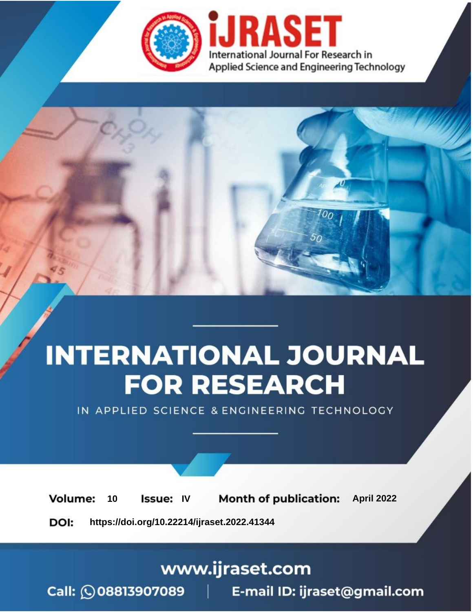

# **INTERNATIONAL JOURNAL FOR RESEARCH**

IN APPLIED SCIENCE & ENGINEERING TECHNOLOGY

Volume: 10 **Issue: IV Month of publication:** April 2022

**https://doi.org/10.22214/ijraset.2022.41344**DOI:

www.ijraset.com

Call: 008813907089 | E-mail ID: ijraset@gmail.com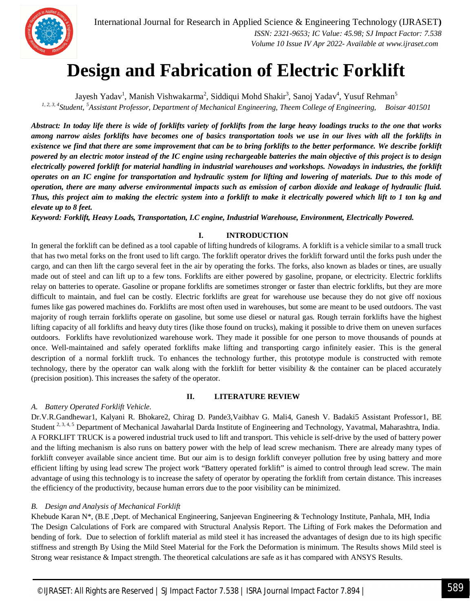

### **Design and Fabrication of Electric Forklift**

Jayesh Yadav<sup>1</sup>, Manish Vishwakarma<sup>2</sup>, Siddiqui Mohd Shakir<sup>3</sup>, Sanoj Yadav<sup>4</sup>, Yusuf Rehman<sup>5</sup> *1, 2, 3, 4Student, <sup>5</sup>Assistant Professor, Department of Mechanical Engineering, Theem College of Engineering, Boisar 401501*

*Abstract: In today life there is wide of forklifts variety of forklifts from the large heavy loadings trucks to the one that works among narrow aisles forklifts have becomes one of basics transportation tools we use in our lives with all the forklifts in existence we find that there are some improvement that can be to bring forklifts to the better performance. We describe forklift powered by an electric motor instead of the IC engine using rechargeable batteries the main objective of this project is to design electrically powered forklift for material handling in industrial warehouses and workshops. Nowadays in industries, the forklift operates on an IC engine for transportation and hydraulic system for lifting and lowering of materials. Due to this mode of operation, there are many adverse environmental impacts such as emission of carbon dioxide and leakage of hydraulic fluid. Thus, this project aim to making the electric system into a forklift to make it electrically powered which lift to 1 ton kg and elevate up to 8 feet.*

*Keyword: Forklift, Heavy Loads, Transportation, I.C engine, Industrial Warehouse, Environment, Electrically Powered.*

#### **I. INTRODUCTION**

In general the forklift can be defined as a tool capable of lifting hundreds of kilograms. A forklift is a vehicle similar to a small truck that has two metal forks on the front used to lift cargo. The forklift operator drives the forklift forward until the forks push under the cargo, and can then lift the cargo several feet in the air by operating the forks. The forks, also known as blades or tines, are usually made out of steel and can lift up to a few tons. Forklifts are either powered by gasoline, propane, or electricity. Electric forklifts relay on batteries to operate. Gasoline or propane forklifts are sometimes stronger or faster than electric forklifts, but they are more difficult to maintain, and fuel can be costly. Electric forklifts are great for warehouse use because they do not give off noxious fumes like gas powered machines do. Forklifts are most often used in warehouses, but some are meant to be used outdoors. The vast majority of rough terrain forklifts operate on gasoline, but some use diesel or natural gas. Rough terrain forklifts have the highest lifting capacity of all forklifts and heavy duty tires (like those found on trucks), making it possible to drive them on uneven surfaces outdoors. Forklifts have revolutionized warehouse work. They made it possible for one person to move thousands of pounds at once. Well-maintained and safely operated forklifts make lifting and transporting cargo infinitely easier. This is the general description of a normal forklift truck. To enhances the technology further, this prototype module is constructed with remote technology, there by the operator can walk along with the forklift for better visibility & the container can be placed accurately (precision position). This increases the safety of the operator.

#### **II. LITERATURE REVIEW**

#### *A. Battery Operated Forklift Vehicle.*

Dr.V.R.Gandhewar1, Kalyani R. Bhokare2, Chirag D. Pande3,Vaibhav G. Mali4, Ganesh V. Badaki5 Assistant Professor1, BE Student <sup>2, 3, 4, 5</sup> Department of Mechanical Jawaharlal Darda Institute of Engineering and Technology, Yavatmal, Maharashtra, India. A FORKLIFT TRUCK is a powered industrial truck used to lift and transport. This vehicle is self-drive by the used of battery power and the lifting mechanism is also runs on battery power with the help of lead screw mechanism. There are already many types of forklift conveyer available since ancient time. But our aim is to design forklift conveyer pollution free by using battery and more efficient lifting by using lead screw The project work "Battery operated forklift" is aimed to control through lead screw. The main advantage of using this technology is to increase the safety of operator by operating the forklift from certain distance. This increases the efficiency of the productivity, because human errors due to the poor visibility can be minimized.

#### *B. Design and Analysis of Mechanical Forklift*

Khebude Karan N\*, (B.E ,Dept. of Mechanical Engineering, Sanjeevan Engineering & Technology Institute, Panhala, MH, India The Design Calculations of Fork are compared with Structural Analysis Report. The Lifting of Fork makes the Deformation and bending of fork. Due to selection of forklift material as mild steel it has increased the advantages of design due to its high specific stiffness and strength By Using the Mild Steel Material for the Fork the Deformation is minimum. The Results shows Mild steel is Strong wear resistance & Impact strength. The theoretical calculations are safe as it has compared with ANSYS Results.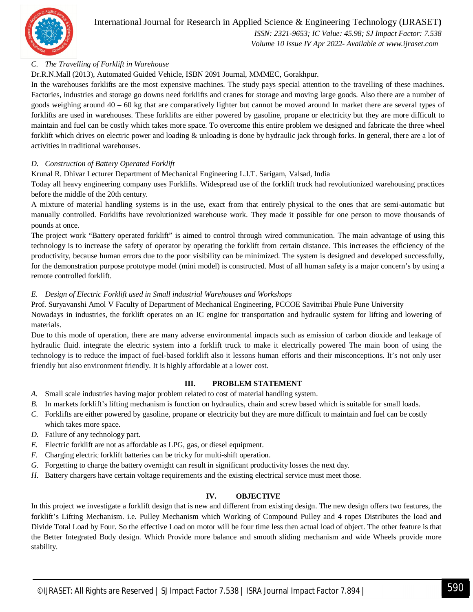

International Journal for Research in Applied Science & Engineering Technology (IJRASET**)**

 *ISSN: 2321-9653; IC Value: 45.98; SJ Impact Factor: 7.538 Volume 10 Issue IV Apr 2022- Available at www.ijraset.com*

#### *C. The Travelling of Forklift in Warehouse*

Dr.R.N.Mall (2013), Automated Guided Vehicle, ISBN 2091 Journal, MMMEC, Gorakhpur.

In the warehouses forklifts are the most expensive machines. The study pays special attention to the travelling of these machines. Factories, industries and storage go downs need forklifts and cranes for storage and moving large goods. Also there are a number of goods weighing around 40 – 60 kg that are comparatively lighter but cannot be moved around In market there are several types of forklifts are used in warehouses. These forklifts are either powered by gasoline, propane or electricity but they are more difficult to maintain and fuel can be costly which takes more space. To overcome this entire problem we designed and fabricate the three wheel forklift which drives on electric power and loading & unloading is done by hydraulic jack through forks. In general, there are a lot of activities in traditional warehouses.

#### *D. Construction of Battery Operated Forklift*

Krunal R. Dhivar Lecturer Department of Mechanical Engineering L.I.T. Sarigam, Valsad, India

Today all heavy engineering company uses Forklifts. Widespread use of the forklift truck had revolutionized warehousing practices before the middle of the 20th century.

A mixture of material handling systems is in the use, exact from that entirely physical to the ones that are semi-automatic but manually controlled. Forklifts have revolutionized warehouse work. They made it possible for one person to move thousands of pounds at once.

The project work "Battery operated forklift" is aimed to control through wired communication. The main advantage of using this technology is to increase the safety of operator by operating the forklift from certain distance. This increases the efficiency of the productivity, because human errors due to the poor visibility can be minimized. The system is designed and developed successfully, for the demonstration purpose prototype model (mini model) is constructed. Most of all human safety is a major concern's by using a remote controlled forklift.

#### *E. Design of Electric Forklift used in Small industrial Warehouses and Workshops*

Prof. Suryavanshi Amol V Faculty of Department of Mechanical Engineering, PCCOE Savitribai Phule Pune University Nowadays in industries, the forklift operates on an IC engine for transportation and hydraulic system for lifting and lowering of materials.

Due to this mode of operation, there are many adverse environmental impacts such as emission of carbon dioxide and leakage of hydraulic fluid. integrate the electric system into a forklift truck to make it electrically powered The main boon of using the technology is to reduce the impact of fuel-based forklift also it lessons human efforts and their misconceptions. It's not only user friendly but also environment friendly. It is highly affordable at a lower cost.

#### **III. PROBLEM STATEMENT**

- *A.* Small scale industries having major problem related to cost of material handling system.
- *B.* In markets forklift's lifting mechanism is function on hydraulics, chain and screw based which is suitable for small loads.
- *C.* Forklifts are either powered by gasoline, propane or electricity but they are more difficult to maintain and fuel can be costly which takes more space.
- *D.* Failure of any technology part.
- *E.* Electric forklift are not as affordable as LPG, gas, or diesel equipment.
- *F.* Charging electric forklift batteries can be tricky for multi-shift operation.
- *G.* Forgetting to charge the battery overnight can result in significant productivity losses the next day.
- *H.* Battery chargers have certain voltage requirements and the existing electrical service must meet those.

#### **IV. OBJECTIVE**

In this project we investigate a forklift design that is new and different from existing design. The new design offers two features, the forklift's Lifting Mechanism. i.e. Pulley Mechanism which Working of Compound Pulley and 4 ropes Distributes the load and Divide Total Load by Four. So the effective Load on motor will be four time less then actual load of object. The other feature is that the Better Integrated Body design. Which Provide more balance and smooth sliding mechanism and wide Wheels provide more stability.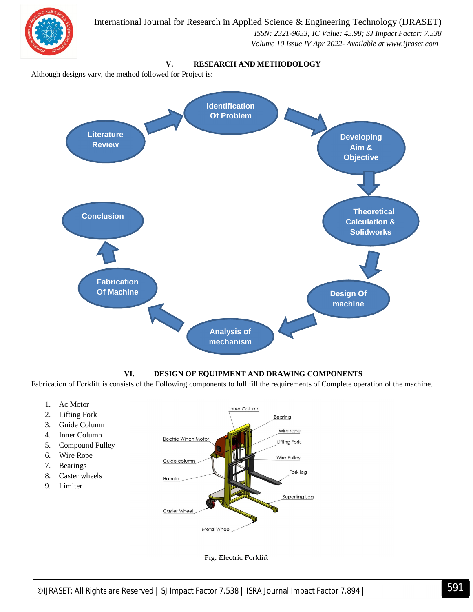

#### **VI. DESIGN OF EQUIPMENT AND DRAWING COMPONENTS**

**Design Of machine**

Fabrication of Forklift is consists of the Following components to full fill the requirements of Complete operation of the machine.

**Analysis of mechanism**

- 1. Ac Motor
- 2. Lifting Fork
- 3. Guide Column

**Fabrication Of Machine**

- 4. Inner Column
- 5. Compound Pulley
- 6. Wire Rope
- 7. Bearings
- 8. Caster wheels
- 9. Limiter



Fig. Electric Forklift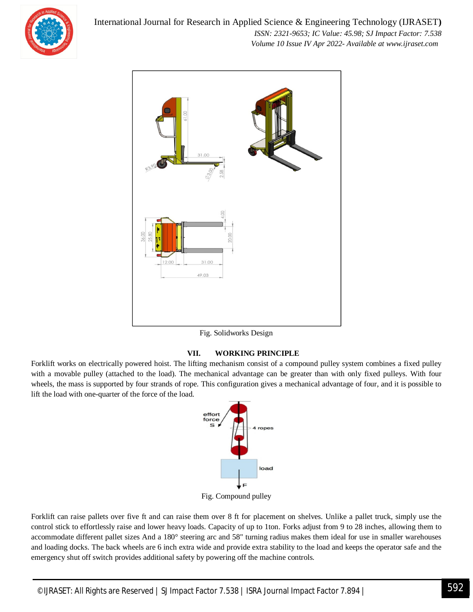

International Journal for Research in Applied Science & Engineering Technology (IJRASET**)**  *ISSN: 2321-9653; IC Value: 45.98; SJ Impact Factor: 7.538 Volume 10 Issue IV Apr 2022- Available at www.ijraset.com*



Fig. Solidworks Design

#### **VII. WORKING PRINCIPLE**

Forklift works on electrically powered hoist. The lifting mechanism consist of a compound pulley system combines a fixed pulley with a movable pulley (attached to the load). The mechanical advantage can be greater than with only fixed pulleys. With four wheels, the mass is supported by four strands of rope. This configuration gives a mechanical advantage of four, and it is possible to lift the load with one-quarter of the force of the load.



Fig. Compound pulley

Forklift can raise pallets over five ft and can raise them over 8 ft for placement on shelves. Unlike a pallet truck, simply use the control stick to effortlessly raise and lower heavy loads. Capacity of up to 1ton. Forks adjust from 9 to 28 inches, allowing them to accommodate different pallet sizes And a 180° steering arc and 58" turning radius makes them ideal for use in smaller warehouses and loading docks. The back wheels are 6 inch extra wide and provide extra stability to the load and keeps the operator safe and the emergency shut off switch provides additional safety by powering off the machine controls.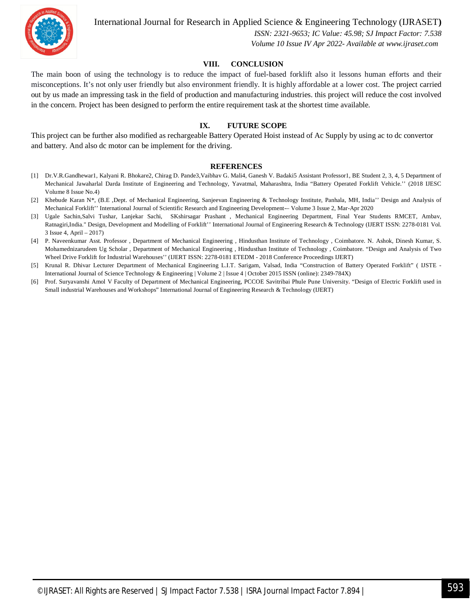

International Journal for Research in Applied Science & Engineering Technology (IJRASET**)**

 *ISSN: 2321-9653; IC Value: 45.98; SJ Impact Factor: 7.538 Volume 10 Issue IV Apr 2022- Available at www.ijraset.com*

#### **VIII. CONCLUSION**

The main boon of using the technology is to reduce the impact of fuel-based forklift also it lessons human efforts and their misconceptions. It's not only user friendly but also environment friendly. It is highly affordable at a lower cost. The project carried out by us made an impressing task in the field of production and manufacturing industries. this project will reduce the cost involved in the concern. Project has been designed to perform the entire requirement task at the shortest time available.

#### **IX. FUTURE SCOPE**

This project can be further also modified as rechargeable Battery Operated Hoist instead of Ac Supply by using ac to dc convertor and battery. And also dc motor can be implement for the driving.

#### **REFERENCES**

- [1] Dr.V.R.Gandhewar1, Kalyani R. Bhokare2, Chirag D. Pande3,Vaibhav G. Mali4, Ganesh V. Badaki5 Assistant Professor1, BE Student 2, 3, 4, 5 Department of Mechanical Jawaharlal Darda Institute of Engineering and Technology, Yavatmal, Maharashtra, India "Battery Operated Forklift Vehicle.'' (2018 IJESC Volume 8 Issue No.4)
- [2] Khebude Karan N\*, (B.E ,Dept. of Mechanical Engineering, Sanjeevan Engineering & Technology Institute, Panhala, MH, India'' Design and Analysis of Mechanical Forklift'' International Journal of Scientific Research and Engineering Development-– Volume 3 Issue 2, Mar-Apr 2020
- [3] Ugale Sachin,Salvi Tushar, Lanjekar Sachi, SKshirsagar Prashant , Mechanical Engineering Department, Final Year Students RMCET, Ambav, Ratnagiri,India." Design, Development and Modelling of Forklift'' International Journal of Engineering Research & Technology (IJERT ISSN: 2278-0181 Vol. 3 Issue 4, April – 2017)
- [4] P. Naveenkumar Asst. Professor , Department of Mechanical Engineering , Hindusthan Institute of Technology , Coimbatore. N. Ashok, Dinesh Kumar, S. Mohamednizarudeen Ug Scholar , Department of Mechanical Engineering , Hindusthan Institute of Technology , Coimbatore. "Design and Analysis of Two Wheel Drive Forklift for Industrial Warehouses'' (IJERT ISSN: 2278-0181 ETEDM - 2018 Conference Proceedings IJERT)
- [5] Krunal R. Dhivar Lecturer Department of Mechanical Engineering L.I.T. Sarigam, Valsad, India "Construction of Battery Operated Forklift" ( IJSTE International Journal of Science Technology & Engineering | Volume 2 | Issue 4 | October 2015 ISSN (online): 2349-784X)
- [6] Prof. Suryavanshi Amol V Faculty of Department of Mechanical Engineering, PCCOE Savitribai Phule Pune University**.** "Design of Electric Forklift used in Small industrial Warehouses and Workshops" International Journal of Engineering Research & Technology (IJERT)